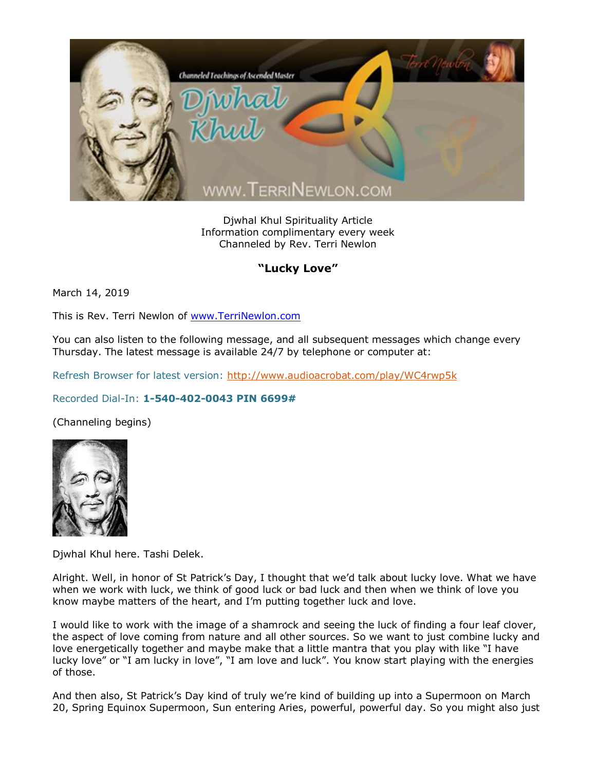

Djwhal Khul Spirituality Article Information complimentary every week Channeled by Rev. Terri Newlon

## **"Lucky Love"**

March 14, 2019

This is Rev. Terri Newlon of [www.TerriNewlon.com](http://www.terrinewlon.com/)

You can also listen to the following message, and all subsequent messages which change every Thursday. The latest message is available 24/7 by telephone or computer at:

Refresh Browser for latest version:<http://www.audioacrobat.com/play/WC4rwp5k>

## Recorded Dial-In: **1-540-402-0043 PIN 6699#**

(Channeling begins)



Djwhal Khul here. Tashi Delek.

Alright. Well, in honor of St Patrick's Day, I thought that we'd talk about lucky love. What we have when we work with luck, we think of good luck or bad luck and then when we think of love you know maybe matters of the heart, and I'm putting together luck and love.

I would like to work with the image of a shamrock and seeing the luck of finding a four leaf clover, the aspect of love coming from nature and all other sources. So we want to just combine lucky and love energetically together and maybe make that a little mantra that you play with like "I have lucky love" or "I am lucky in love", "I am love and luck". You know start playing with the energies of those.

And then also, St Patrick's Day kind of truly we're kind of building up into a Supermoon on March 20, Spring Equinox Supermoon, Sun entering Aries, powerful, powerful day. So you might also just